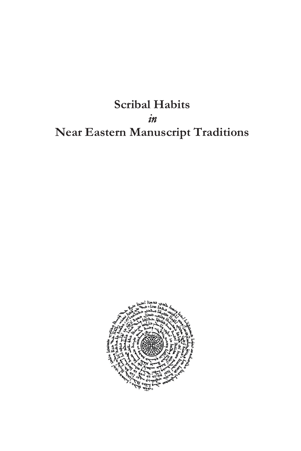**Scribal Habits**  *in*  **Near Eastern Manuscript Traditions**

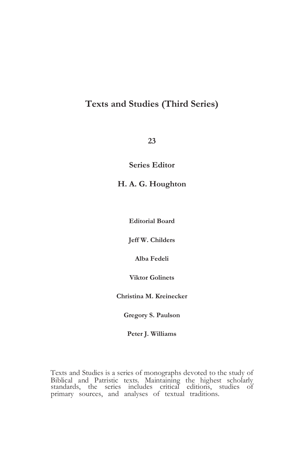## **Texts and Studies (Third Series)**

**23**

**Series Editor**

**H. A. G. Houghton**

**Editorial Board**

**Jeff W. Childers**

**Alba Fedeli**

**Viktor Golinets**

**Christina M. Kreinecker**

**Gregory S. Paulson**

**Peter J. Williams**

 Biblical and Patristic texts. Maintaining the highest scholarly Texts and Studies is a series of monographs devoted to the study of standards, the series includes critical editions, studies of primary sources, and analyses of textual traditions.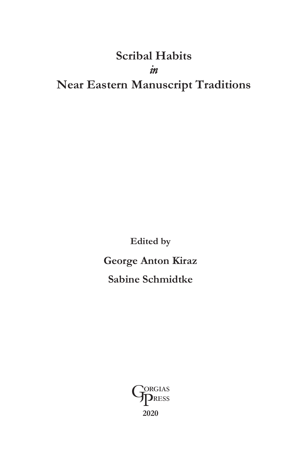## **Scribal Habits**  *in*  **Near Eastern Manuscript Traditions**

**Edited by George Anton Kiraz Sabine Schmidtke**